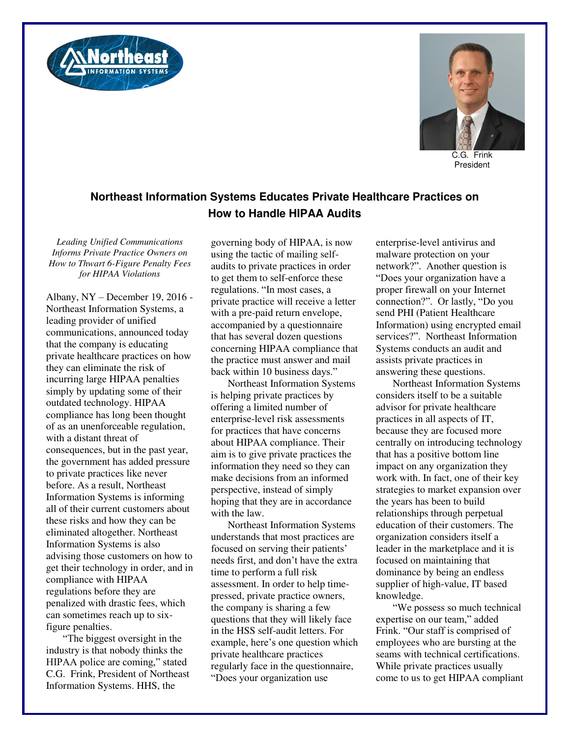



C.G. Frink President

## **Northeast Information Systems Educates Private Healthcare Practices on How to Handle HIPAA Audits**

*Leading Unified Communications Informs Private Practice Owners on How to Thwart 6-Figure Penalty Fees for HIPAA Violations* 

Albany, NY – December 19, 2016 - Northeast Information Systems, a leading provider of unified communications, announced today that the company is educating private healthcare practices on how they can eliminate the risk of incurring large HIPAA penalties simply by updating some of their outdated technology. HIPAA compliance has long been thought of as an unenforceable regulation, with a distant threat of consequences, but in the past year, the government has added pressure to private practices like never before. As a result, Northeast Information Systems is informing all of their current customers about these risks and how they can be eliminated altogether. Northeast Information Systems is also advising those customers on how to get their technology in order, and in compliance with HIPAA regulations before they are penalized with drastic fees, which can sometimes reach up to sixfigure penalties.

"The biggest oversight in the industry is that nobody thinks the HIPAA police are coming," stated C.G. Frink, President of Northeast Information Systems. HHS, the

governing body of HIPAA, is now using the tactic of mailing selfaudits to private practices in order to get them to self-enforce these regulations. "In most cases, a private practice will receive a letter with a pre-paid return envelope, accompanied by a questionnaire that has several dozen questions concerning HIPAA compliance that the practice must answer and mail back within 10 business days."

Northeast Information Systems is helping private practices by offering a limited number of enterprise-level risk assessments for practices that have concerns about HIPAA compliance. Their aim is to give private practices the information they need so they can make decisions from an informed perspective, instead of simply hoping that they are in accordance with the law.

Northeast Information Systems understands that most practices are focused on serving their patients' needs first, and don't have the extra time to perform a full risk assessment. In order to help timepressed, private practice owners, the company is sharing a few questions that they will likely face in the HSS self-audit letters. For example, here's one question which private healthcare practices regularly face in the questionnaire, "Does your organization use

enterprise-level antivirus and malware protection on your network?". Another question is "Does your organization have a proper firewall on your Internet connection?". Or lastly, "Do you send PHI (Patient Healthcare Information) using encrypted email services?". Northeast Information Systems conducts an audit and assists private practices in answering these questions.

Northeast Information Systems considers itself to be a suitable advisor for private healthcare practices in all aspects of IT, because they are focused more centrally on introducing technology that has a positive bottom line impact on any organization they work with. In fact, one of their key strategies to market expansion over the years has been to build relationships through perpetual education of their customers. The organization considers itself a leader in the marketplace and it is focused on maintaining that dominance by being an endless supplier of high-value, IT based knowledge.

"We possess so much technical expertise on our team," added Frink. "Our staff is comprised of employees who are bursting at the seams with technical certifications. While private practices usually come to us to get HIPAA compliant